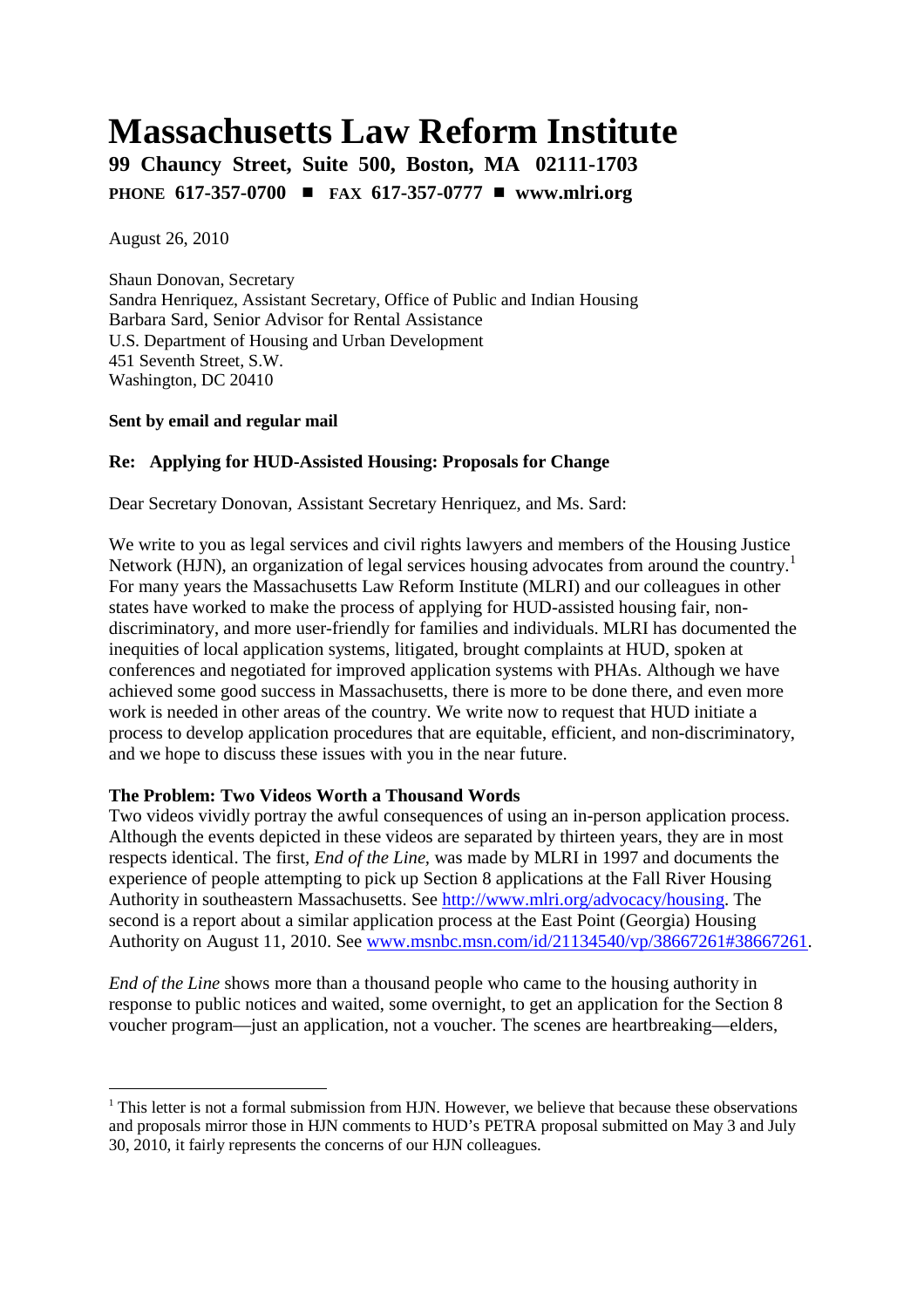# **Massachusetts Law Reform Institute**

**99 Chauncy Street, Suite 500, Boston, MA 02111-1703 PHONE 617-357-0700** # **FAX 617-357-0777** # **www.mlri.org**

August 26, 2010

Shaun Donovan, Secretary Sandra Henriquez, Assistant Secretary, Office of Public and Indian Housing Barbara Sard, Senior Advisor for Rental Assistance U.S. Department of Housing and Urban Development 451 Seventh Street, S.W. Washington, DC 20410

#### **Sent by email and regular mail**

## **Re: Applying for HUD-Assisted Housing: Proposals for Change**

Dear Secretary Donovan, Assistant Secretary Henriquez, and Ms. Sard:

We write to you as legal services and civil rights lawyers and members of the Housing Justice Network (HJN), an organization of legal services housing advocates from around the country.<sup>1</sup> For many years the Massachusetts Law Reform Institute (MLRI) and our colleagues in other states have worked to make the process of applying for HUD-assisted housing fair, nondiscriminatory, and more user-friendly for families and individuals. MLRI has documented the inequities of local application systems, litigated, brought complaints at HUD, spoken at conferences and negotiated for improved application systems with PHAs. Although we have achieved some good success in Massachusetts, there is more to be done there, and even more work is needed in other areas of the country. We write now to request that HUD initiate a process to develop application procedures that are equitable, efficient, and non-discriminatory, and we hope to discuss these issues with you in the near future.

## **The Problem: Two Videos Worth a Thousand Words**

Two videos vividly portray the awful consequences of using an in-person application process. Although the events depicted in these videos are separated by thirteen years, they are in most respects identical. The first*, End of the Line,* was made by MLRI in 1997 and documents the experience of people attempting to pick up Section 8 applications at the Fall River Housing Authority in southeastern Massachusetts. See http://www.mlri.org/advocacy/housing. The second is a report about a similar application process at the East Point (Georgia) Housing Authority on August 11, 2010. See www.msnbc.msn.com/id/21134540/vp/38667261#38667261.

*End of the Line* shows more than a thousand people who came to the housing authority in response to public notices and waited, some overnight, to get an application for the Section 8 voucher program—just an application, not a voucher. The scenes are heartbreaking—elders,

 $1$  This letter is not a formal submission from HJN. However, we believe that because these observations and proposals mirror those in HJN comments to HUD's PETRA proposal submitted on May 3 and July 30, 2010, it fairly represents the concerns of our HJN colleagues.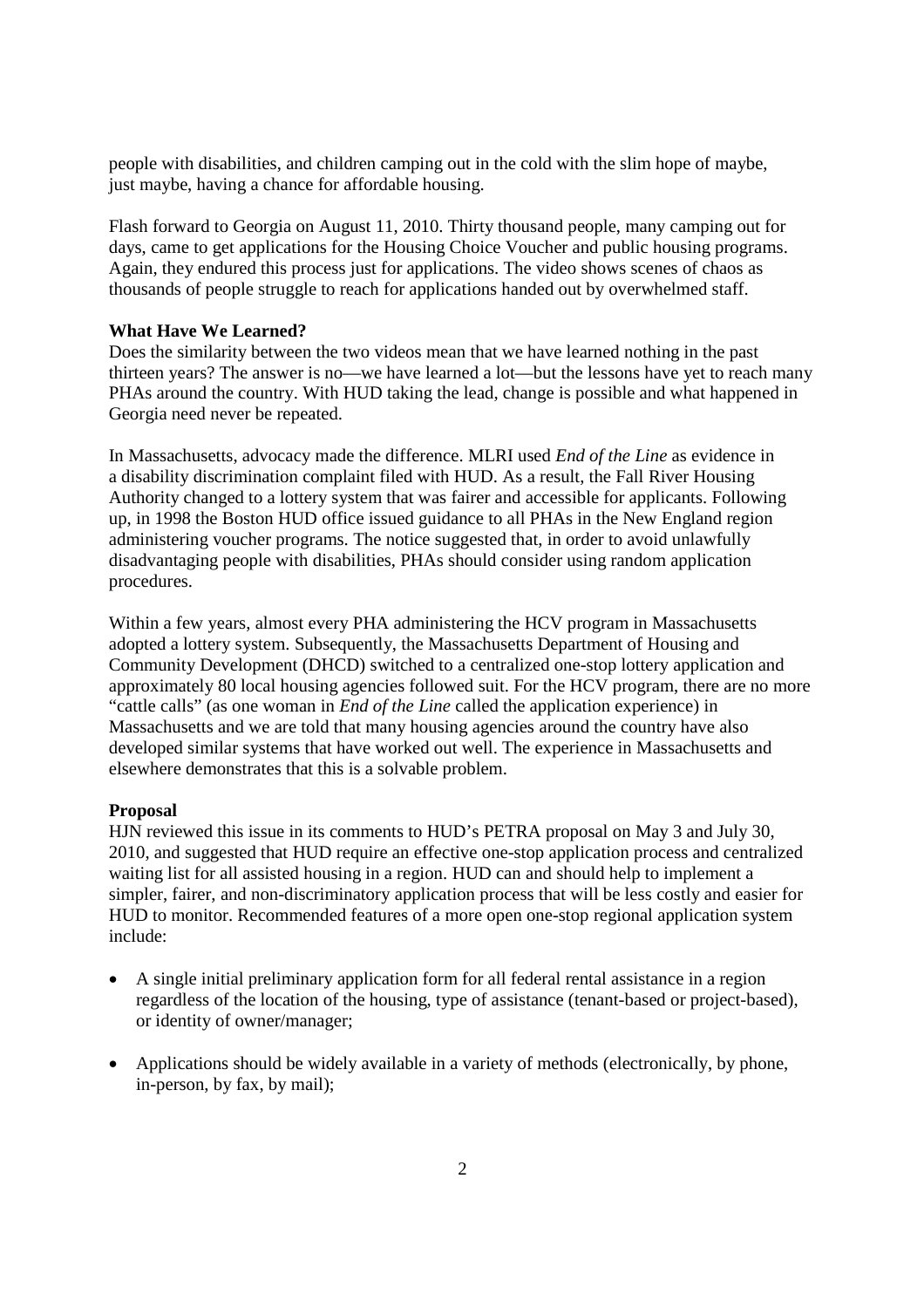people with disabilities, and children camping out in the cold with the slim hope of maybe, just maybe, having a chance for affordable housing.

Flash forward to Georgia on August 11, 2010. Thirty thousand people, many camping out for days, came to get applications for the Housing Choice Voucher and public housing programs. Again, they endured this process just for applications. The video shows scenes of chaos as thousands of people struggle to reach for applications handed out by overwhelmed staff.

#### **What Have We Learned?**

Does the similarity between the two videos mean that we have learned nothing in the past thirteen years? The answer is no—we have learned a lot—but the lessons have yet to reach many PHAs around the country. With HUD taking the lead, change is possible and what happened in Georgia need never be repeated.

In Massachusetts, advocacy made the difference. MLRI used *End of the Line* as evidence in a disability discrimination complaint filed with HUD. As a result, the Fall River Housing Authority changed to a lottery system that was fairer and accessible for applicants. Following up, in 1998 the Boston HUD office issued guidance to all PHAs in the New England region administering voucher programs. The notice suggested that, in order to avoid unlawfully disadvantaging people with disabilities, PHAs should consider using random application procedures.

Within a few years, almost every PHA administering the HCV program in Massachusetts adopted a lottery system. Subsequently, the Massachusetts Department of Housing and Community Development (DHCD) switched to a centralized one-stop lottery application and approximately 80 local housing agencies followed suit. For the HCV program, there are no more "cattle calls" (as one woman in *End of the Line* called the application experience) in Massachusetts and we are told that many housing agencies around the country have also developed similar systems that have worked out well. The experience in Massachusetts and elsewhere demonstrates that this is a solvable problem.

#### **Proposal**

HJN reviewed this issue in its comments to HUD's PETRA proposal on May 3 and July 30, 2010, and suggested that HUD require an effective one-stop application process and centralized waiting list for all assisted housing in a region. HUD can and should help to implement a simpler, fairer, and non-discriminatory application process that will be less costly and easier for HUD to monitor. Recommended features of a more open one-stop regional application system include:

- A single initial preliminary application form for all federal rental assistance in a region regardless of the location of the housing, type of assistance (tenant-based or project-based), or identity of owner/manager;
- Applications should be widely available in a variety of methods (electronically, by phone, in-person, by fax, by mail);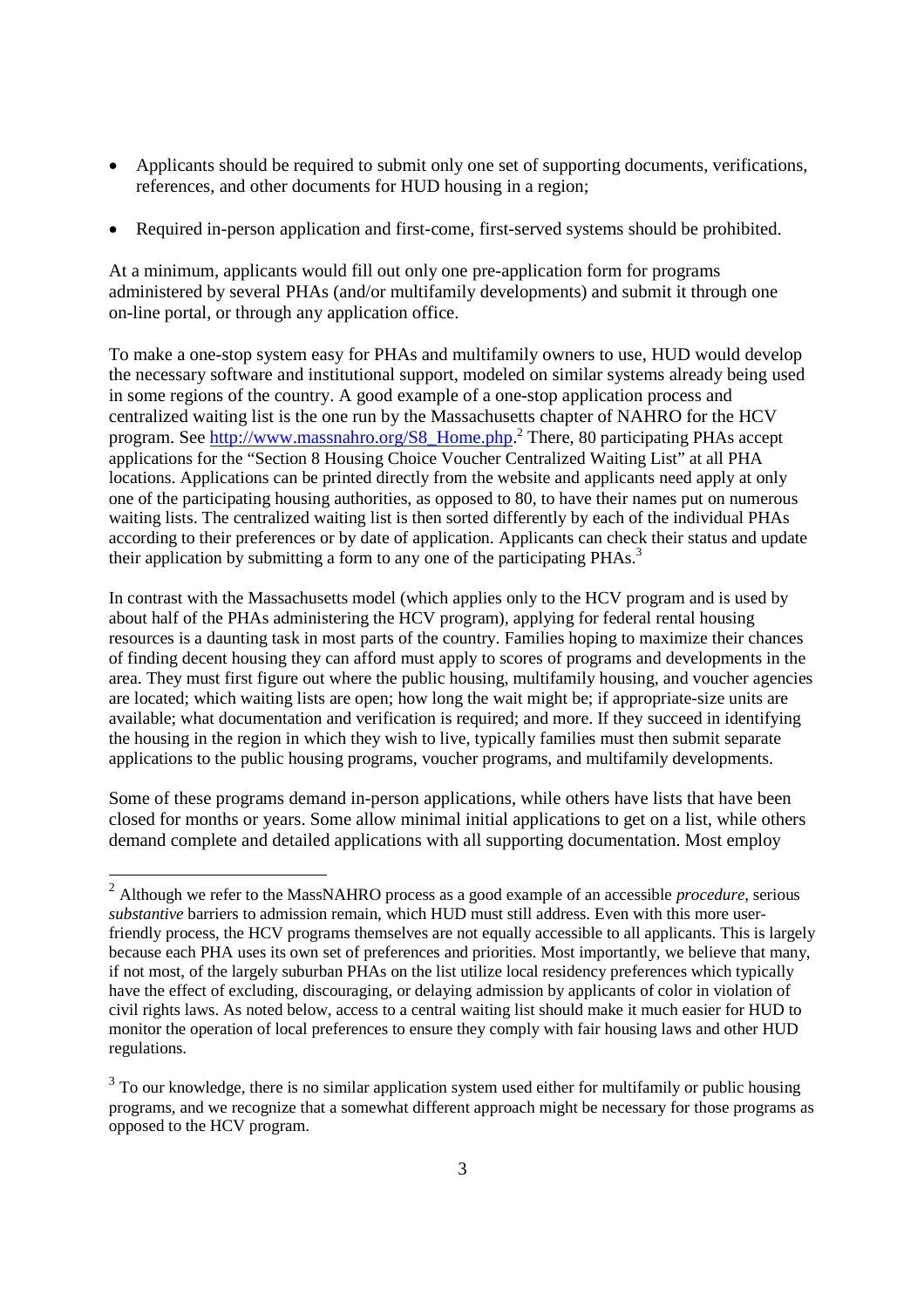- Applicants should be required to submit only one set of supporting documents, verifications, references, and other documents for HUD housing in a region;
- Required in-person application and first-come, first-served systems should be prohibited.

At a minimum, applicants would fill out only one pre-application form for programs administered by several PHAs (and/or multifamily developments) and submit it through one on-line portal, or through any application office.

To make a one-stop system easy for PHAs and multifamily owners to use, HUD would develop the necessary software and institutional support, modeled on similar systems already being used in some regions of the country. A good example of a one-stop application process and centralized waiting list is the one run by the Massachusetts chapter of NAHRO for the HCV program. See http://www.massnahro.org/S8\_Home.php.<sup>2</sup> There, 80 participating PHAs accept applications for the "Section 8 Housing Choice Voucher Centralized Waiting List" at all PHA locations. Applications can be printed directly from the website and applicants need apply at only one of the participating housing authorities, as opposed to 80, to have their names put on numerous waiting lists. The centralized waiting list is then sorted differently by each of the individual PHAs according to their preferences or by date of application. Applicants can check their status and update their application by submitting a form to any one of the participating  $PHAs.<sup>3</sup>$ 

In contrast with the Massachusetts model (which applies only to the HCV program and is used by about half of the PHAs administering the HCV program), applying for federal rental housing resources is a daunting task in most parts of the country. Families hoping to maximize their chances of finding decent housing they can afford must apply to scores of programs and developments in the area. They must first figure out where the public housing, multifamily housing, and voucher agencies are located; which waiting lists are open; how long the wait might be; if appropriate-size units are available; what documentation and verification is required; and more. If they succeed in identifying the housing in the region in which they wish to live, typically families must then submit separate applications to the public housing programs, voucher programs, and multifamily developments.

Some of these programs demand in-person applications, while others have lists that have been closed for months or years. Some allow minimal initial applications to get on a list, while others demand complete and detailed applications with all supporting documentation. Most employ

<sup>2</sup> Although we refer to the MassNAHRO process as a good example of an accessible *procedure,* serious *substantive* barriers to admission remain, which HUD must still address. Even with this more userfriendly process, the HCV programs themselves are not equally accessible to all applicants. This is largely because each PHA uses its own set of preferences and priorities. Most importantly, we believe that many, if not most, of the largely suburban PHAs on the list utilize local residency preferences which typically have the effect of excluding, discouraging, or delaying admission by applicants of color in violation of civil rights laws. As noted below, access to a central waiting list should make it much easier for HUD to monitor the operation of local preferences to ensure they comply with fair housing laws and other HUD regulations.

 $3$  To our knowledge, there is no similar application system used either for multifamily or public housing programs, and we recognize that a somewhat different approach might be necessary for those programs as opposed to the HCV program.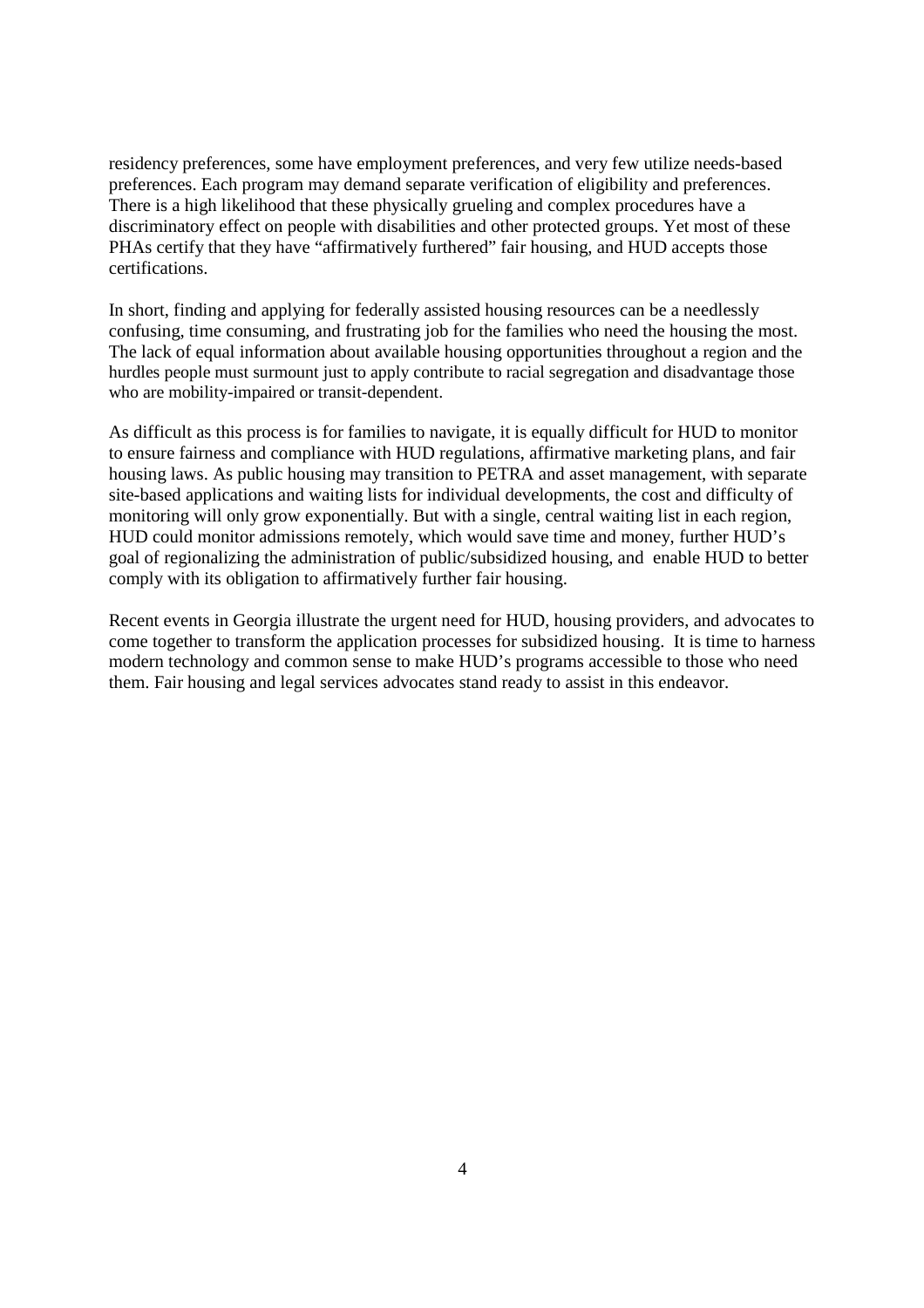residency preferences, some have employment preferences, and very few utilize needs-based preferences. Each program may demand separate verification of eligibility and preferences. There is a high likelihood that these physically grueling and complex procedures have a discriminatory effect on people with disabilities and other protected groups. Yet most of these PHAs certify that they have "affirmatively furthered" fair housing, and HUD accepts those certifications.

In short, finding and applying for federally assisted housing resources can be a needlessly confusing, time consuming, and frustrating job for the families who need the housing the most. The lack of equal information about available housing opportunities throughout a region and the hurdles people must surmount just to apply contribute to racial segregation and disadvantage those who are mobility-impaired or transit-dependent.

As difficult as this process is for families to navigate, it is equally difficult for HUD to monitor to ensure fairness and compliance with HUD regulations, affirmative marketing plans, and fair housing laws. As public housing may transition to PETRA and asset management, with separate site-based applications and waiting lists for individual developments, the cost and difficulty of monitoring will only grow exponentially. But with a single, central waiting list in each region, HUD could monitor admissions remotely, which would save time and money, further HUD's goal of regionalizing the administration of public/subsidized housing, and enable HUD to better comply with its obligation to affirmatively further fair housing.

Recent events in Georgia illustrate the urgent need for HUD, housing providers, and advocates to come together to transform the application processes for subsidized housing. It is time to harness modern technology and common sense to make HUD's programs accessible to those who need them. Fair housing and legal services advocates stand ready to assist in this endeavor.